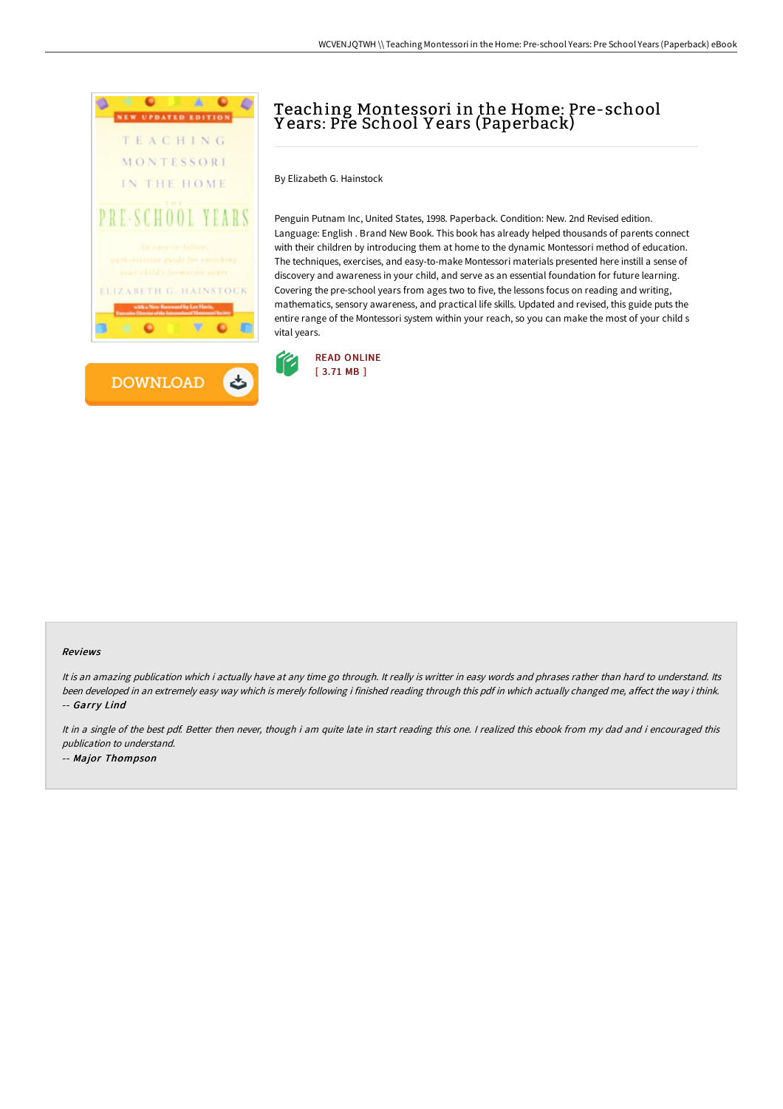

# Teaching Montessori in the Home: Pre-school Y ears: Pre School Y ears (Paperback)

By Elizabeth G. Hainstock

Penguin Putnam Inc, United States, 1998. Paperback. Condition: New. 2nd Revised edition. Language: English . Brand New Book. This book has already helped thousands of parents connect with their children by introducing them at home to the dynamic Montessori method of education. The techniques, exercises, and easy-to-make Montessori materials presented here instill a sense of discovery and awareness in your child, and serve as an essential foundation for future learning. Covering the pre-school years from ages two to five, the lessons focus on reading and writing, mathematics, sensory awareness, and practical life skills. Updated and revised, this guide puts the entire range of the Montessori system within your reach, so you can make the most of your child s vital years.



#### Reviews

It is an amazing publication which i actually have at any time go through. It really is writter in easy words and phrases rather than hard to understand. Its been developed in an extremely easy way which is merely following i finished reading through this pdf in which actually changed me, affect the way i think. -- Garry Lind

It in a single of the best pdf. Better then never, though i am quite late in start reading this one. I realized this ebook from my dad and i encouraged this publication to understand. -- Major Thompson